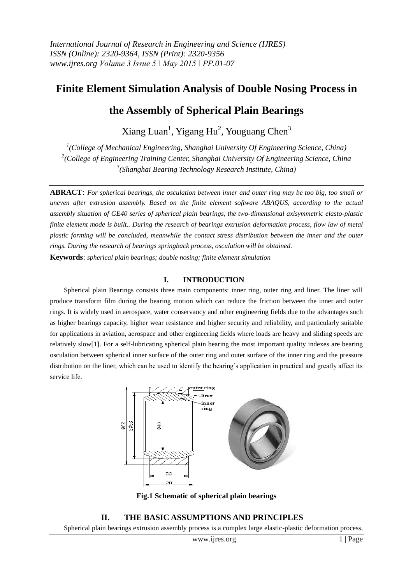# **Finite Element Simulation Analysis of Double Nosing Process in**

# **the Assembly of Spherical Plain Bearings**

Xiang Luan<sup>1</sup>, Yigang Hu<sup>2</sup>, Youguang Chen<sup>3</sup>

*1 (College of Mechanical Engineering, Shanghai University Of Engineering Science, China) 2 (College of Engineering Training Center, Shanghai University Of Engineering Science, China 3 (Shanghai Bearing Technology Research Institute, China)*

**ABRACT**: *For spherical bearings, the osculation between inner and outer ring may be too big, too small or uneven after extrusion assembly. Based on the finite element software ABAQUS, according to the actual assembly situation of GE40 series of spherical plain bearings, the two-dimensional axisymmetric elasto-plastic finite element mode is built.. During the research of bearings extrusion deformation process, flow law of metal plastic forming will be concluded, meanwhile the contact stress distribution between the inner and the outer rings. During the research of bearings springback process, osculation will be obtained.*

**Keywords**: *spherical plain bearings; double nosing; finite element simulation*

## **I. INTRODUCTION**

Spherical plain Bearings consists three main components: inner ring, outer ring and liner. The liner will produce transform film during the bearing motion which can reduce the friction between the inner and outer rings. It is widely used in aerospace, water conservancy and other engineering fields due to the advantages such as higher bearings capacity, higher wear resistance and higher security and reliability, and particularly suitable for applications in aviation, aerospace and other engineering fields where loads are heavy and sliding speeds are relatively slow[1]. For a self-lubricating spherical plain bearing the most important quality indexes are bearing osculation between spherical inner surface of the outer ring and outer surface of the inner ring and the pressure distribution on the liner, which can be used to identify the bearing's application in practical and greatly affect its service life.



**Fig.1 Schematic of spherical plain bearings**

## **II. THE BASIC ASSUMPTIONS AND PRINCIPLES**

Spherical plain bearings extrusion assembly process is a complex large elastic-plastic deformation process,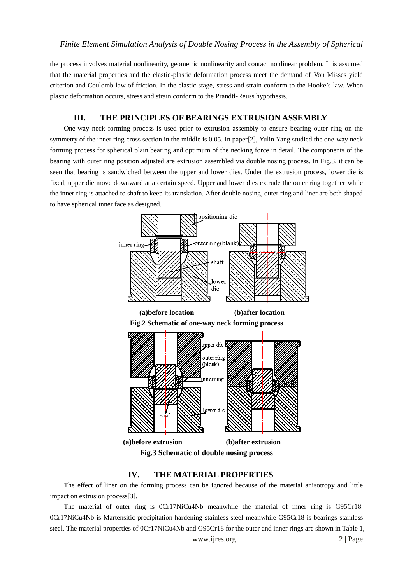the process involves material nonlinearity, geometric nonlinearity and contact nonlinear problem. It is assumed that the material properties and the elastic-plastic deformation process meet the demand of Von Misses yield criterion and Coulomb law of friction. In the elastic stage, stress and strain conform to the Hooke's law. When plastic deformation occurs, stress and strain conform to the Prandtl-Reuss hypothesis.

## **III. THE PRINCIPLES OF BEARINGS EXTRUSION ASSEMBLY**

One-way neck forming process is used prior to extrusion assembly to ensure bearing outer ring on the symmetry of the inner ring cross section in the middle is 0.05. In paper[2], Yulin Yang studied the one-way neck forming process for spherical plain bearing and optimum of the necking force in detail. The components of the bearing with outer ring position adjusted are extrusion assembled via double nosing process. In Fig.3, it can be seen that bearing is sandwiched between the upper and lower dies. Under the extrusion process, lower die is fixed, upper die move downward at a certain speed. Upper and lower dies extrude the outer ring together while the inner ring is attached to shaft to keep its translation. After double nosing, outer ring and liner are both shaped to have spherical inner face as designed.



## **IV. THE MATERIAL PROPERTIES**

The effect of liner on the forming process can be ignored because of the material anisotropy and little impact on extrusion process[3].

The material of outer ring is 0Cr17NiCu4Nb meanwhile the material of inner ring is G95Cr18. 0Cr17NiCu4Nb is Martensitic precipitation hardening stainless steel meanwhile G95Cr18 is bearings stainless steel. The material properties of 0Cr17NiCu4Nb and G95Cr18 for the outer and inner rings are shown in Table 1,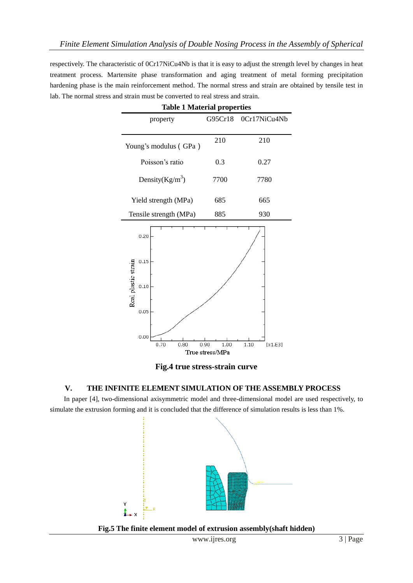respectively. The characteristic of 0Cr17NiCu4Nb is that it is easy to adjust the strength level by changes in heat treatment process. Martensite phase transformation and aging treatment of metal forming precipitation hardening phase is the main reinforcement method. The normal stress and strain are obtained by tensile test in lab. The normal stress and strain must be converted to real stress and strain.

| Table 1 Material properties                 |              |                          |  |  |  |
|---------------------------------------------|--------------|--------------------------|--|--|--|
| property                                    | G95Cr18      | 0Cr17NiCu4Nb             |  |  |  |
|                                             |              |                          |  |  |  |
| Young's modulus (GPa)                       | 210          | 210                      |  |  |  |
| Poisson's ratio                             | 0.3          | 0.27                     |  |  |  |
| Density $(Kg/m^3)$                          | 7700         | 7780                     |  |  |  |
| Yield strength (MPa)                        | 685          | 665                      |  |  |  |
| Tensile strength (MPa)                      | 885          | 930                      |  |  |  |
| 0.20<br>0.15<br>Real plastic strain<br>0.10 |              |                          |  |  |  |
| 0.05<br>0.00<br>0.70<br>0.80                | 0.90<br>1.00 | 1.10<br>[ $\times1.E3$ ] |  |  |  |
| True stress/MPa                             |              |                          |  |  |  |

**Table 1 Material properties**

**Fig.4 true stress-strain curve**

## **V. THE INFINITE ELEMENT SIMULATION OF THE ASSEMBLY PROCESS**

In paper [4], two-dimensional axisymmetric model and three-dimensional model are used respectively, to simulate the extrusion forming and it is concluded that the difference of simulation results is less than 1%.



**Fig.5 The finite element model of extrusion assembly(shaft hidden)**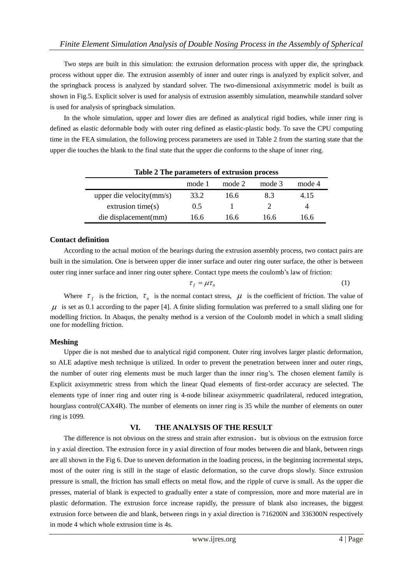Two steps are built in this simulation: the extrusion deformation process with upper die, the springback process without upper die. The extrusion assembly of inner and outer rings is analyzed by explicit solver, and the springback process is analyzed by standard solver. The two-dimensional axisymmetric model is built as shown in Fig.5. Explicit solver is used for analysis of extrusion assembly simulation, meanwhile standard solver is used for analysis of springback simulation.

In the whole simulation, upper and lower dies are defined as analytical rigid bodies, while inner ring is defined as elastic deformable body with outer ring defined as elastic-plastic body. To save the CPU computing time in the FEA simulation, the following process parameters are used in Table 2 from the starting state that the upper die touches the blank to the final state that the upper die conforms to the shape of inner ring.

| Table 2 The parameters of extrasion process |        |        |        |        |  |  |
|---------------------------------------------|--------|--------|--------|--------|--|--|
|                                             | mode 1 | mode 2 | mode 3 | mode 4 |  |  |
| upper die velocity $(mm/s)$                 | 33.2   | 16.6   | 8.3    | 4.15   |  |  |
| extrusion time $(s)$                        | 0.5    |        |        |        |  |  |
| die displacement(mm)                        | 16.6   | 16.6   | 16.6   | 16.6   |  |  |

#### **Table 2 The parameters of extrusion process**

### **Contact definition**

According to the actual motion of the bearings during the extrusion assembly process, two contact pairs are built in the simulation. One is between upper die inner surface and outer ring outer surface, the other is between outer ring inner surface and inner ring outer sphere. Contact type meets the coulomb's law of friction:

$$
\tau_f = \mu \tau_n \tag{1}
$$

Where  $\tau_f$  is the friction,  $\tau_n$  is the normal contact stress,  $\mu$  is the coefficient of friction. The value of  $\mu$  is set as 0.1 according to the paper [4]. A finite sliding formulation was preferred to a small sliding one for modelling friction. In Abaqus, the penalty method is a version of the Coulomb model in which a small sliding one for modelling friction.

## **Meshing**

Upper die is not meshed due to analytical rigid component. Outer ring involves larger plastic deformation, so ALE adaptive mesh technique is utilized. In order to prevent the penetration between inner and outer rings, the number of outer ring elements must be much larger than the inner ring's. The chosen element family is Explicit axisymmetric stress from which the linear Quad elements of first-order accuracy are selected. The elements type of inner ring and outer ring is 4-node bilinear axisymmetric quadrilateral, reduced integration, hourglass control(CAX4R). The number of elements on inner ring is 35 while the number of elements on outer ring is 1099.

## **VI. THE ANALYSIS OF THE RESULT**

The difference is not obvious on the stress and strain after extrusion, but is obvious on the extrusion force in y [axial](javascript:void(0);) [direction.](javascript:void(0);) The extrusion force in y axial direction of four modes between die and blank, between rings are all shown in the Fig 6. Due to uneven deformation in the loading process, in the beginning incremental steps, most of the outer ring is still in the stage of elastic deformation, so the curve drops slowly. Since extrusion pressure is small, the friction has small effects on metal flow, and the ripple of curve is small. As the upper die presses, material of blank is expected to gradually enter a state of compression, more and more material are in plastic deformation. The extrusion force increase rapidly, the pressure of blank also increases, the biggest extrusion force between die and blank, between rings in y axial direction is 716200N and 336300N respectively in mode 4 which whole extrusion time is 4s.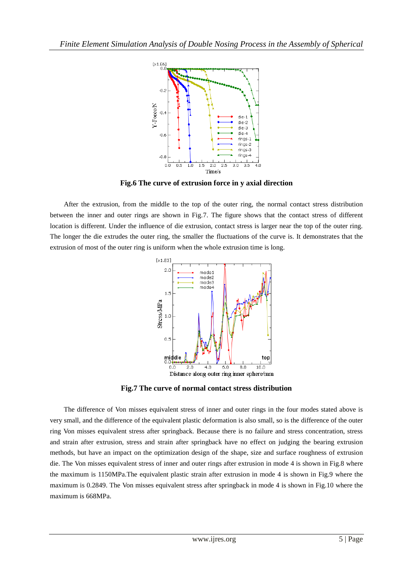

**Fig.6 The curve of extrusion force in y axial direction**

After the extrusion, from the middle to the top of the outer ring, the normal contact stress distribution between the inner and outer rings are shown in Fig.7. The figure shows that the contact stress of different location is different. Under the influence of die extrusion, contact stress is larger near the top of the outer ring. The longer the die extrudes the outer ring, the smaller the fluctuations of the curve is. It demonstrates that the extrusion of most of the outer ring is uniform when the whole extrusion time is long.



**Fig.7 The curve of normal contact stress distribution**

The difference of Von misses equivalent stress of inner and outer rings in the four modes stated above is very small, and the difference of the equivalent plastic deformation is also small, so is the difference of the outer ring Von misses equivalent stress after springback. Because there is no failure and stress concentration, stress and strain after extrusion, stress and strain after springback have no effect on judging the bearing extrusion methods, but have an impact on the [optimization](javascript:void(0);) [design](javascript:void(0);) of the shape, size and [surface](javascript:void(0);) [roughness](javascript:void(0);) of extrusion die. The Von misses equivalent stress of inner and outer rings after extrusion in mode 4 is shown in Fig.8 where the maximum is 1150MPa.The equivalent plastic strain after extrusion in mode 4 is shown in Fig.9 where the maximum is 0.2849. The Von misses equivalent stress after springback in mode 4 is shown in Fig.10 where the maximum is 668MPa.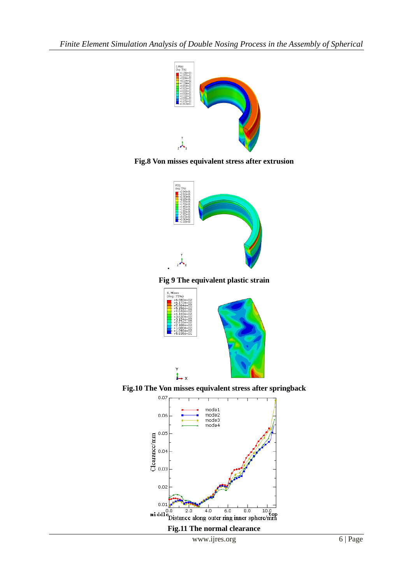

**Fig.8 Von misses equivalent stress after extrusion**



**Fig 9 The equivalent plastic strain**



**Fig.10 The Von misses equivalent stress after springback**